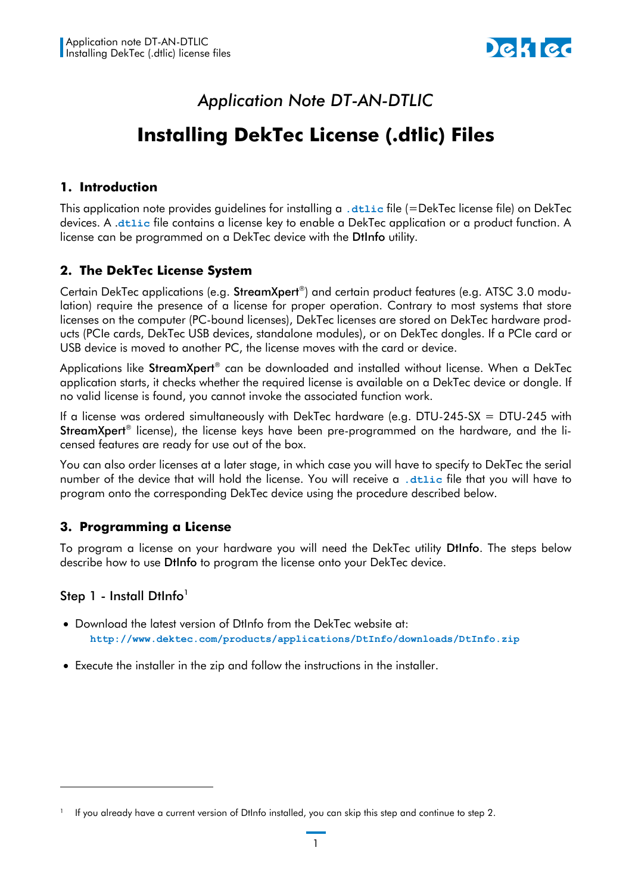

# *Application Note DT-AN-DTLIC*

# **Installing DekTec License (.dtlic) Files**

#### **1. Introduction**

This application note provides guidelines for installing a **.dtlic** file (=DekTec license file) on DekTec devices. A .**dtlic** file contains a license key to enable a DekTec application or a product function. A license can be programmed on a DekTec device with the DtInfo utility.

## **2. The DekTec License System**

Certain DekTec applications (e.g. **StreamXpert®**) and certain product features (e.g. ATSC 3.0 modulation) require the presence of a license for proper operation. Contrary to most systems that store licenses on the computer (PC-bound licenses), DekTec licenses are stored on DekTec hardware products (PCIe cards, DekTec USB devices, standalone modules), or on DekTec dongles. If a PCIe card or USB device is moved to another PC, the license moves with the card or device.

Applications like **StreamXpert®** can be downloaded and installed without license. When a DekTec application starts, it checks whether the required license is available on a DekTec device or dongle. If no valid license is found, you cannot invoke the associated function work.

If a license was ordered simultaneously with DekTec hardware (e.g. DTU-245-SX = DTU-245 with StreamXpert® license), the license keys have been pre-programmed on the hardware, and the licensed features are ready for use out of the box.

You can also order licenses at a later stage, in which case you will have to specify to DekTec the serial number of the device that will hold the license. You will receive a **.dtlic** file that you will have to program onto the corresponding DekTec device using the procedure described below.

## **3. Programming a License**

To program a license on your hardware you will need the DekTec utility DtInfo. The steps below describe how to use DtInfo to program the license onto your DekTec device.

## Step 1 - Install DtInfo<sup>1</sup>

-

- Download the latest version of DtInfo from the DekTec website at: **<http://www.dektec.com/products/applications/DtInfo/downloads/DtInfo.zip>**
- Execute the installer in the zip and follow the instructions in the installer.

<sup>1</sup> If you already have a current version of DtInfo installed, you can skip this step and continue to step 2.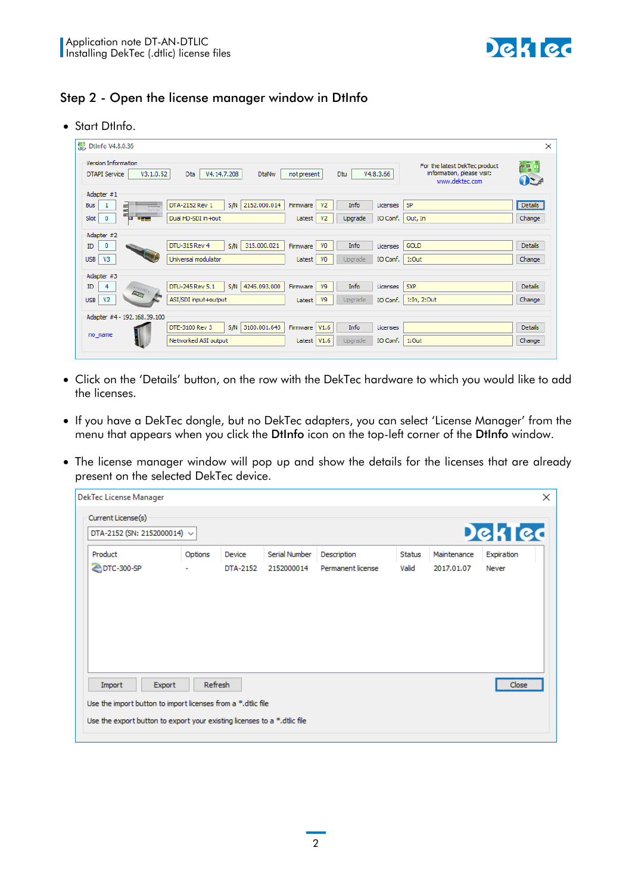

#### Step 2 - Open the license manager window in DtInfo

Start DtInfo.

| <b>Dtinfo V4.8.0.36</b>                                                                                                                                                                                                                                                                                                                                                                                                                                   |                                            |                            |                     |                                                                               | ×               |
|-----------------------------------------------------------------------------------------------------------------------------------------------------------------------------------------------------------------------------------------------------------------------------------------------------------------------------------------------------------------------------------------------------------------------------------------------------------|--------------------------------------------|----------------------------|---------------------|-------------------------------------------------------------------------------|-----------------|
| <b>Version Information</b><br>V3.1.0.52<br><b>DTAPI Service</b>                                                                                                                                                                                                                                                                                                                                                                                           | Dta<br>V4.14.7.208<br><b>DtaNw</b>         | Dtu<br>not present         | V4.8.3.66           | For the latest DekTec product<br>information, please visit:<br>www.dektec.com | ò90<br>$\theta$ |
| Adapter #1                                                                                                                                                                                                                                                                                                                                                                                                                                                |                                            |                            |                     |                                                                               |                 |
| <b>Bus</b><br>5<br>$rac{1}{\sqrt{1-\frac{1}{2}}\sqrt{1-\frac{1}{2}}\sqrt{1-\frac{1}{2}}\sqrt{1-\frac{1}{2}}\sqrt{1-\frac{1}{2}}\sqrt{1-\frac{1}{2}}\sqrt{1-\frac{1}{2}}\sqrt{1-\frac{1}{2}}\sqrt{1-\frac{1}{2}}\sqrt{1-\frac{1}{2}}\sqrt{1-\frac{1}{2}}\sqrt{1-\frac{1}{2}}\sqrt{1-\frac{1}{2}}\sqrt{1-\frac{1}{2}}\sqrt{1-\frac{1}{2}}\sqrt{1-\frac{1}{2}}\sqrt{1-\frac{1}{2}}\sqrt{1-\frac{1}{2}}\sqrt{1-\frac{1}{2}}\sqrt{1-\frac{$<br><b>OKERY OF</b> | S/N<br>2152.000.014<br>DTA-2152 Rev 1      | V <sub>2</sub><br>Firmware | Info<br>Licenses    | SP                                                                            | Details         |
| Slot<br>0<br>سيرينا<br>▫                                                                                                                                                                                                                                                                                                                                                                                                                                  | Dual HD-SDI in +out                        | V <sub>2</sub><br>Latest   | IO Conf.<br>Upgrade | Out, In                                                                       | Change          |
| Adapter #2                                                                                                                                                                                                                                                                                                                                                                                                                                                |                                            |                            |                     |                                                                               |                 |
| 0<br>ID                                                                                                                                                                                                                                                                                                                                                                                                                                                   | DTU-315 Rev 4<br>315.000.021<br><b>S/N</b> | V <sub>0</sub><br>Firmware | Info<br>Licenses    | <b>GOLD</b>                                                                   | <b>Details</b>  |
| V <sub>3</sub><br><b>USB</b>                                                                                                                                                                                                                                                                                                                                                                                                                              | Universal modulator                        | V <sub>0</sub><br>Latest   | IO Conf.<br>Upgrade | 1:Out                                                                         | Change          |
| Adapter #3                                                                                                                                                                                                                                                                                                                                                                                                                                                |                                            |                            |                     |                                                                               |                 |
| ID<br>$\sum_{i=1}^{n}$                                                                                                                                                                                                                                                                                                                                                                                                                                    | S/N<br>DTU-245 Rev 5.1<br>4245.093.000     | Firmware<br>V9             | Info<br>Licenses    | <b>SXP</b>                                                                    | <b>Details</b>  |
| V <sub>2</sub><br><b>USB</b>                                                                                                                                                                                                                                                                                                                                                                                                                              | ASI/SDI input +output                      | V9<br>Latest               | Upgrade<br>IO Conf. | 1:In, 2:Out                                                                   | Change          |
| Adapter #4 - 192.168.39.100                                                                                                                                                                                                                                                                                                                                                                                                                               |                                            |                            |                     |                                                                               |                 |
|                                                                                                                                                                                                                                                                                                                                                                                                                                                           | 3100.001.643<br>DTE-3100 Rev 3<br>S/N      | Firmware<br>V1.6           | Info<br>Licenses    |                                                                               | <b>Details</b>  |
| no_name                                                                                                                                                                                                                                                                                                                                                                                                                                                   | Networked ASI output                       | Latest $V1.6$              | IO Conf.<br>Upgrade | 1:Out                                                                         | Change          |
|                                                                                                                                                                                                                                                                                                                                                                                                                                                           |                                            |                            |                     |                                                                               |                 |

- Click on the 'Details' button, on the row with the DekTec hardware to which you would like to add the licenses.
- If you have a DekTec dongle, but no DekTec adapters, you can select 'License Manager' from the menu that appears when you click the DtInfo icon on the top-left corner of the DtInfo window.
- The license manager window will pop up and show the details for the licenses that are already present on the selected DekTec device.

|                                                                  | DekTec License Manager                                                                                                                   |         |          |               |                   |               |             |            | $\times$ |  |
|------------------------------------------------------------------|------------------------------------------------------------------------------------------------------------------------------------------|---------|----------|---------------|-------------------|---------------|-------------|------------|----------|--|
| Current License(s)<br>DekTec<br>DTA-2152 (SN: 2152000014) $\vee$ |                                                                                                                                          |         |          |               |                   |               |             |            |          |  |
| Product                                                          |                                                                                                                                          | Options | Device   | Serial Number | Description       | <b>Status</b> | Maintenance | Expiration |          |  |
|                                                                  | DTC-300-SP                                                                                                                               |         | DTA-2152 | 2152000014    | Permanent license | Valid         | 2017.01.07  | Never      |          |  |
|                                                                  |                                                                                                                                          |         |          |               |                   |               |             |            |          |  |
|                                                                  | Refresh<br>Import<br>Export<br>Close                                                                                                     |         |          |               |                   |               |             |            |          |  |
|                                                                  | Use the import button to import licenses from a *.dtlic file<br>Use the export button to export your existing licenses to a *.dtlic file |         |          |               |                   |               |             |            |          |  |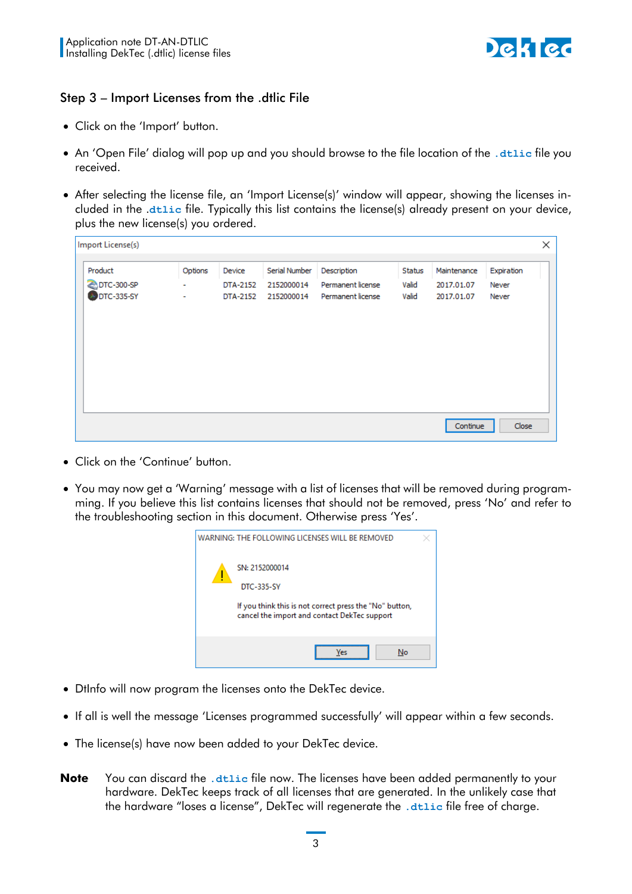

#### Step 3 – Import Licenses from the .dtlic File

- Click on the 'Import' button.
- An 'Open File' dialog will pop up and you should browse to the file location of the **.dtlic** file you received.
- After selecting the license file, an 'Import License(s)' window will appear, showing the licenses included in the .**dtlic** file. Typically this list contains the license(s) already present on your device, plus the new license(s) you ordered.

| Import License(s)                   |                   |                                |                                           |                                                       |                          |                                         |                              | × |
|-------------------------------------|-------------------|--------------------------------|-------------------------------------------|-------------------------------------------------------|--------------------------|-----------------------------------------|------------------------------|---|
| Product<br>DTC-300-SP<br>DTC-335-SY | Options<br>۰<br>۰ | Device<br>DTA-2152<br>DTA-2152 | Serial Number<br>2152000014<br>2152000014 | Description<br>Permanent license<br>Permanent license | Status<br>Valid<br>Valid | Maintenance<br>2017.01.07<br>2017.01.07 | Expiration<br>Never<br>Never |   |
|                                     |                   |                                |                                           |                                                       |                          | Continue                                | Close                        |   |

- Click on the 'Continue' button.
- You may now get a 'Warning' message with a list of licenses that will be removed during programming. If you believe this list contains licenses that should not be removed, press 'No' and refer to the troubleshooting section in this document. Otherwise press 'Yes'.



- DtInfo will now program the licenses onto the DekTec device.
- If all is well the message 'Licenses programmed successfully' will appear within a few seconds.
- The license(s) have now been added to your DekTec device.
- **Note** You can discard the **.dtlic** file now. The licenses have been added permanently to your hardware. DekTec keeps track of all licenses that are generated. In the unlikely case that the hardware "loses a license", DekTec will regenerate the **.dtlic** file free of charge.